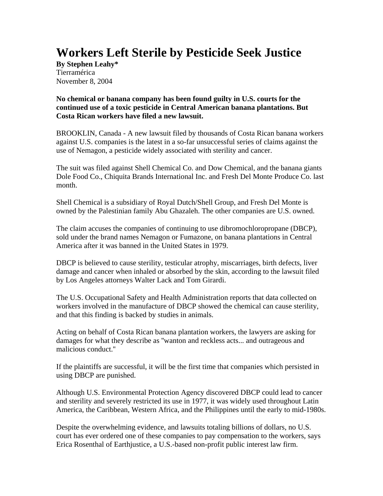## **Workers Left Sterile by Pesticide Seek Justice**

**By Stephen Leahy\***  Tierramérica November 8, 2004

## **No chemical or banana company has been found guilty in U.S. courts for the continued use of a toxic pesticide in Central American banana plantations. But Costa Rican workers have filed a new lawsuit.**

BROOKLIN, Canada - A new lawsuit filed by thousands of Costa Rican banana workers against U.S. companies is the latest in a so-far unsuccessful series of claims against the use of Nemagon, a pesticide widely associated with sterility and cancer.

The suit was filed against Shell Chemical Co. and Dow Chemical, and the banana giants Dole Food Co., Chiquita Brands International Inc. and Fresh Del Monte Produce Co. last month.

Shell Chemical is a subsidiary of Royal Dutch/Shell Group, and Fresh Del Monte is owned by the Palestinian family Abu Ghazaleh. The other companies are U.S. owned.

The claim accuses the companies of continuing to use dibromochloropropane (DBCP), sold under the brand names Nemagon or Fumazone, on banana plantations in Central America after it was banned in the United States in 1979.

DBCP is believed to cause sterility, testicular atrophy, miscarriages, birth defects, liver damage and cancer when inhaled or absorbed by the skin, according to the lawsuit filed by Los Angeles attorneys Walter Lack and Tom Girardi.

The U.S. Occupational Safety and Health Administration reports that data collected on workers involved in the manufacture of DBCP showed the chemical can cause sterility, and that this finding is backed by studies in animals.

Acting on behalf of Costa Rican banana plantation workers, the lawyers are asking for damages for what they describe as ''wanton and reckless acts... and outrageous and malicious conduct.''

If the plaintiffs are successful, it will be the first time that companies which persisted in using DBCP are punished.

Although U.S. Environmental Protection Agency discovered DBCP could lead to cancer and sterility and severely restricted its use in 1977, it was widely used throughout Latin America, the Caribbean, Western Africa, and the Philippines until the early to mid-1980s.

Despite the overwhelming evidence, and lawsuits totaling billions of dollars, no U.S. court has ever ordered one of these companies to pay compensation to the workers, says Erica Rosenthal of Earthjustice, a U.S.-based non-profit public interest law firm.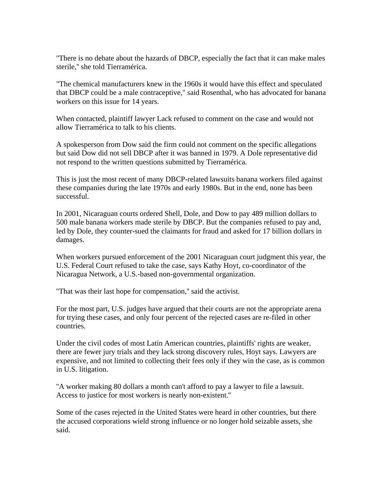''There is no debate about the hazards of DBCP, especially the fact that it can make males sterile,'' she told Tierramérica.

"The chemical manufacturers knew in the 1960s it would have this effect and speculated that DBCP could be a male contraceptive," said Rosenthal, who has advocated for banana workers on this issue for 14 years.

When contacted, plaintiff lawyer Lack refused to comment on the case and would not allow Tierramérica to talk to his clients.

A spokesperson from Dow said the firm could not comment on the specific allegations but said Dow did not sell DBCP after it was banned in 1979. A Dole representative did not respond to the written questions submitted by Tierramérica.

This is just the most recent of many DBCP-related lawsuits banana workers filed against these companies during the late 1970s and early 1980s. But in the end, none has been successful.

In 2001, Nicaraguan courts ordered Shell, Dole, and Dow to pay 489 million dollars to 500 male banana workers made sterile by DBCP. But the companies refused to pay and, led by Dole, they counter-sued the claimants for fraud and asked for 17 billion dollars in damages.

When workers pursued enforcement of the 2001 Nicaraguan court judgment this year, the U.S. Federal Court refused to take the case, says Kathy Hoyt, co-coordinator of the Nicaragua Network, a U.S.-based non-governmental organization.

''That was their last hope for compensation,'' said the activist.

For the most part, U.S. judges have argued that their courts are not the appropriate arena for trying these cases, and only four percent of the rejected cases are re-filed in other countries.

Under the civil codes of most Latin American countries, plaintiffs' rights are weaker, there are fewer jury trials and they lack strong discovery rules, Hoyt says. Lawyers are expensive, and not limited to collecting their fees only if they win the case, as is common in U.S. litigation.

''A worker making 80 dollars a month can't afford to pay a lawyer to file a lawsuit. Access to justice for most workers is nearly non-existent.''

Some of the cases rejected in the United States were heard in other countries, but there the accused corporations wield strong influence or no longer hold seizable assets, she said.